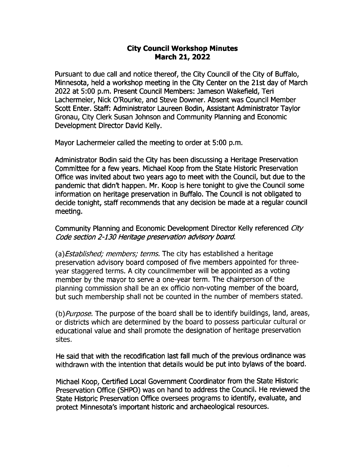## City Council Workshop Minutes March 21, 2022

Pursuant to due call and notice thereof, the City Council of the City of Buffalo, Minnesota, held a workshop meeting in the City Center on the 21st day of March 2022 at 5: 00 p. m. Present Council Members: Jameson Wakefield, Teri Lachermeier, Nick 0'Rourke, and Steve Downer. Absent was Council Member Scott Enter. Staff: Administrator Laureen Bodin, Assistant Administrator Taylor Gronau, City Clerk Susan Johnson and Community Planning and Economic Development Director David Kelly.

Mayor Lachermeier called the meeting to order at 5:00 p.m.

Administrator Bodin said the City has been discussing a Heritage Preservation Committee for a few years. Michael Koop from the State Historic Preservation Office was invited about two years ago to meet with the Council, but due to the pandemic that didn't happen. Mr. Koop is here tonight to give the Council some information on heritage preservation in Buffalo. The Council is not obligated to decide tonight, staff recommends that any decision be made at a regular council meeting.

Community Planning and Economic Development Director Kelly referenced City Code section 2-130 Heritage preservation advisory board.

(a) Established; members; terms. The city has established a heritage preservation advisory board composed of five members appointed for threeyear staggered terms. A city councilmember will be appointed as a voting member by the mayor to serve a one- year term. The chairperson of the planning commission shall be an ex officio non- voting member of the board, but such membership shall not be counted in the number of members stated.

(b) Purpose. The purpose of the board shall be to identify buildings, land, areas, or districts which are determined by the board to possess particular cultural or educational value and shall promote the designation of heritage preservation sites.

He said that with the recodification last fall much of the previous ordinance was withdrawn with the intention that details would be put into bylaws of the board.

Michael Koop, Certified Local Government Coordinator from the State Historic Preservation Office ( SHPO) was on hand to address the Council. He reviewed the State Historic Preservation Office oversees programs to identify, evaluate, and protect Minnesota's important historic and archaeological resources.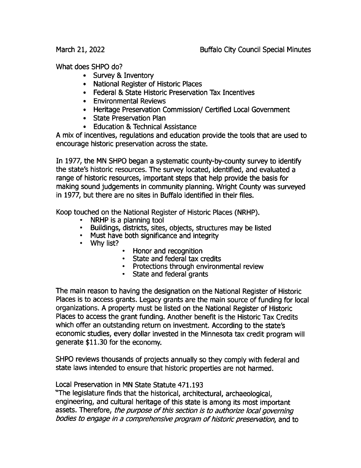What does SHPO do?

- Survey & Inventory
- National Register of Historic Places
- Federal & State Historic Preservation Tax Incentives
- Environmental Reviews
- Heritage Preservation Commission/ Certified Local Government
- State Preservation Plan
- Education & Technical Assistance

A mix of incentives, regulations and education provide the tools that are used to encourage historic preservation across the state.

In 1977, the MN SHPO began a systematic county-by-county survey to identify the state's historic resources. The survey located, identified, and evaluated a range of historic resources, important steps that help provide the basis for making sound judgements in communiry planning. Wright County was surveyed in 1977, but there are no sites in Buffalo identified in their files.

Koop touched on the National Register of Historic Places ( NRHP).

- NRHP is a planning tool
- Buildings, districts, sites, objects, structures may be listed
- Must have both significance and integrity
- Why list?
- Honor and recognition
- State and federal tax credits
- Protections through environmental review
- State and federal grants

The main reason to having the designation on the National Register of Historic Places is to access grants. Legacy grants are the main source of funding for local organizations. A properry must be listed on the National Register of Historic Places to access the grant funding. Another benefit is the Historic Tax Credits which offer an outstanding return on investment. According to the state's economic studies, every dollar invested in the Minnesota tax credit program will generate \$11.30 for the economy.

SHPO reviews thousands of projects annually so they comply with federal and state laws intended to ensure that historic properties are not harmed.

Local Preservation in MN State Statute 471. 193

The legislature finds that the historical, architectural, archaeological, engineering, and cultural heritage of this state is among its most important assets. Therefore, the purpose of this section is to authorize local governing bodies to engage in a comprehensive program of historic preservation, and to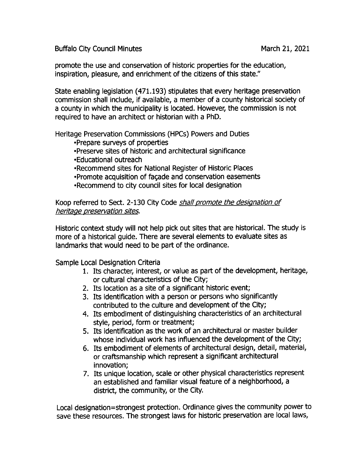Buffalo City Council Minutes **March 21, 2021** 

promote the use and conservation of historic properties for the education, inspiration, pleasure, and enrichment of the citizens of this state."

State enabling legislation ( 471. 193) stipulates that every heritage preservation commission shall include, if available, a member of a county historical society of a county in which the municipality is located. However, the commission is not required to have an architect or historian with a PhD.

Heritage Preservation Commissions ( HPCs) Powers and Duties

Prepare surveys of properties Preserve sites of historic and architectural significance

Educational outreach

Recommend sites for National Register of Historic Places

• Promote acquisition of façade and conservation easements Recommend to city council sites for local designation

Koop referred to Sect. 2-130 City Code shall promote the designation of heritage preservation sites.

Historic context study will not help pick out sites that are historical. The study is more of a historical guide. There are several elements to evaluate sites as landmarks that would need to be part of the ordinance.

Sample Local Designation Criteria

- 1. Its character, interest, or value as part of the development, heritage, or cultural characteristics of the City;
- 2. Its location as a site of a significant historic event;
- 3. Its identification with a person or persons who significantly contributed to the culture and development of the City;
- 4. Its embodiment of distinguishing characteristics of an architectural style, period, form or treatment;
- 5. Its identification as the work of an architectural or master builder whose individual work has influenced the development of the City;
- 6. Its embodiment of elements of architectural design, detail, material, or craftsmanship which represent a significant architectural innovation;
- 7. Its unique location, scale or other physical characteristics represent an established and familiar visual feature of a neighborhood, a district, the community, or the City.

Local designation= strongest protection. Ordinance gives the community power to save these resources. The strongest laws for historic preservation are local laws,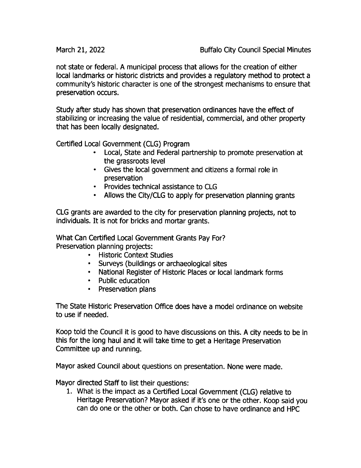not state or federal. A municipal process that allows for the creation of either local landmarks or historic districts and provides a regulatory method to protect a community's historic character is one of the strongest mechanisms to ensure that preservation occurs.

Study after study has shown that preservation ordinances have the effect of stabilizing or increasing the value of residential, commercial, and other property that has been locally designated.

Certified Local Government ( CLG) Program

- Local, State and Federal partnership to promote preservation at the grassroots level
- Gives the local government and citizens a formal role in preservation
- Provides technical assistance to CLG
- Allows the City/CLG to apply for preservation planning grants

CLG grants are awarded to the city for preservation planning projects, not to individuals. It is not for bricks and mortar grants.

What Can Certified Local Government Grants Pay For? Preservation planning projects:

- Historic Context Studies
- Surveys ( buildings or archaeological sites
- National Register of Historic Places or local landmark forms
- Public education
- Preservation plans

The State Historic Preservation Office does have a model ordinance on website to use if needed.

Koop told the Council it is good to have discussions on this. A city needs to be in this for the long haul and it will take time to get a Heritage Preservation Committee up and running.

Mayor asked Council about questions on presentation. None were made.

Mayor directed Staff to list their questions:

1. What is the impact as a Certified Local Government (CLG) relative to Heritage Preservation? Mayor asked if it's one or the other. Koop said you can do one or the other or both. Can chose to have ordinance and HPC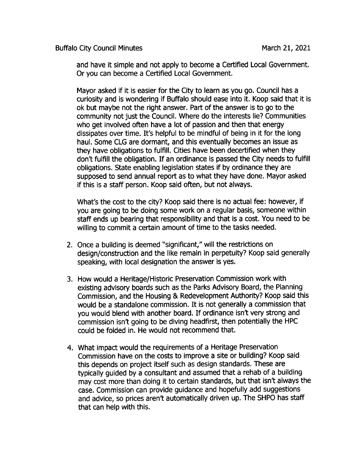Buffalo City Council Minutes March 21, 2021

and have it simple and not apply to become a Certified Local Government. Or you can become a Certified Local Government.

Mayor asked if it is easier for the City to learn as you go. Council has a curiosity and is wondering if Buffalo should ease into it. Koop said that it is ok but maybe not the right answer. Part of the answer is to go to the community not just the Council. Where do the interests lie? Communities who get involved often have a lot of passion and then that energy dissipates over time. It's helpful to be mindful of being in it for the long haul. Some CLG are dormant, and this eventually becomes an issue as they have obligations to fulfill. Cities have been decertified when they don't fulfill the obligation. If an ordinance is passed the City needs to fulfill obligations. State enabling legislation states if by ordinance they are supposed to send annual report as to what they have done. Mayor asked if this is a staff person. Koop said often, but not always.

What's the cost to the city? Koop said there is no actual fee: however, if you are going to be doing some work on a regular basis, someone within staff ends up bearing that responsibility and that is a cost. You need to be willing to commit a certain amount of time to the tasks needed.

- 2. Once <sup>a</sup> building is deemed " significant," will the restrictions on design/ construction and the like remain in perpetuity? Koop said generally speaking, with local designation the answer is yes.
- 3. How would a Heritage/Historic Preservation Commission work with existing advisory boards such as the Parks Advisory Board, the Planning Commission, and the Housing & Redevelopment Authority? Koop said this would be <sup>a</sup> standalone commission. It is not generally <sup>a</sup> commission that you would blend with another board. If ordinance isn't very strong and commission isn't going to be diving headfirst, then potentially the HPC could be folded in. He would not recommend that.
- 4. What impact would the requirements of a Heritage Preservation Commission have on the costs to improve a site or building? Koop said this depends on project itself such as design standards. These are rypically guided by a consultant and assumed that a rehab of a building may cost more than doing it to certain standards, but that isn't always the case. Commission can provide guidance and hopefully add suggestions and advice, so prices aren't automatically driven up. The SHPO has staff that can help with this.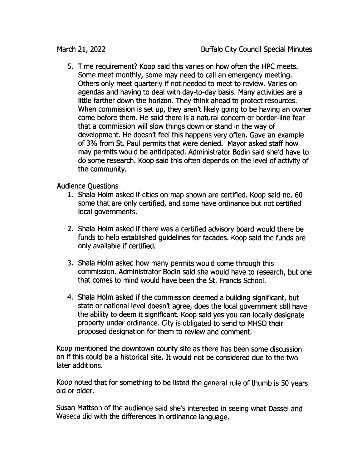5. Time requirement? Koop said this varies on how often the HPC meets. Some meet monthly, some may need to call an emergency meeting. Others only meet quarterly if not needed to meet to review. Varies on agendas and having to deal with day-to-day basis. Many activities are a little farther down the horizon. They think ahead to protect resources. When commission is set up, they aren't likely going to be having an owner come before them. He said there is a natural concern or border-line fear that a commission will slow things down or stand in the way of development. He doesn't feel this happens very often. Gave an example of 3% from St. Paul permits that were denied. Mayor asked staff how may permits would be anticipated. Administrator Bodin said she'd have to do some research. Koop said this often depends on the level of activity of the community.

Audience Questions

- 1. Shala Holm asked if cities on map shown are certified. Koop said no. 60 some that are only certified, and some have ordinance but not certified local governments.
- 2. Shala Holm asked if there was <sup>a</sup> certified advisory board would there be funds to help established guidelines for facades. Koop said the funds are only available if certified.
- 3. Shala Holm asked how many permits would come through this commission. Administrator Bodin said she would have to research, but one that comes to mind would have been the St. Francis School.
- 4. Shala Holm asked if the commission deemed <sup>a</sup> building significant, but state or national level doesn't agree, does the local government still have the ability to deem it significant. Koop said yes you can locally designate property under ordinance. City is obligated to send to MHSO their proposed designation for them to review and comment.

Koop mentioned the downtown county site as there has been some discussion on if this could be <sup>a</sup> historical site. It would not be considered due to the two later additions.

Koop noted that for something to be listed the general rule of thumb is 50 years old or older.

Susan Mattson of the audience said she's interested in seeing what Dassel and Waseca did with the differences in ordinance language.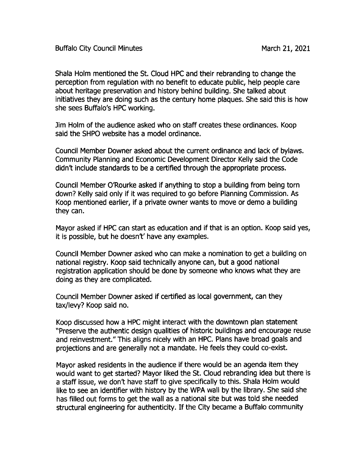Shala Holm mentioned the St. Cloud HPC and their rebranding to change the perception from regulation with no benefit to educate public, help people care about heritage preservation and history behind building. She talked about initiatives they are doing such as the century home plaques. She said this is how she sees Buffalo's HPC working.

im Holm of the audience asked who on staff creates these ordinances. Koop said the SHPO website has a model ordinance.

Council Member Downer asked about the current ordinance and lack of bylaws. Community Planning and Economic Development Director Kelly said the Code didn't include standards to be a certified through the appropriate process.

Council Member 0'Rourke asked if anything to stop <sup>a</sup> building from being torn down? Kelly said only if it was required to go before Planning Commission. As Koop mentioned earlier, if a private owner wants to move or demo a building they can.

Mayor asked if HPC can start as education and if that is an option. Koop said yes, it is possible, but he doesn't' have any examples.

Council Member powner asked who can make a nomination to get a building on national registry. Koop said technically anyone can, but a good national registration application should be done by someone who knows what they are doing as they are complicated.

Council Member Downer asked if certified as local government, can they tax/levy? Koop said no.

Koop discussed how a HPC might interact with the downtown plan statement Preserve the authentic design qualities of historic buildings and encourage reuse and reinvestment." This aligns nicely with an HPC. Plans have broad goals and projections and are generally not a mandate. He feels they could co-exist.

Mayor asked residents in the audience if there would be an agenda item they would want to get started? Mayor liked the St. Cloud rebranding idea but there is <sup>a</sup> staff issue, we don't have staff to give specifically to this. Shala Holm would like to see an identifier with history by the WPA wall by the library. She said she has filled out forms to get the wall as a national site but was told she needed structural engineering for authenticity. If the City became <sup>a</sup> Buffalo community